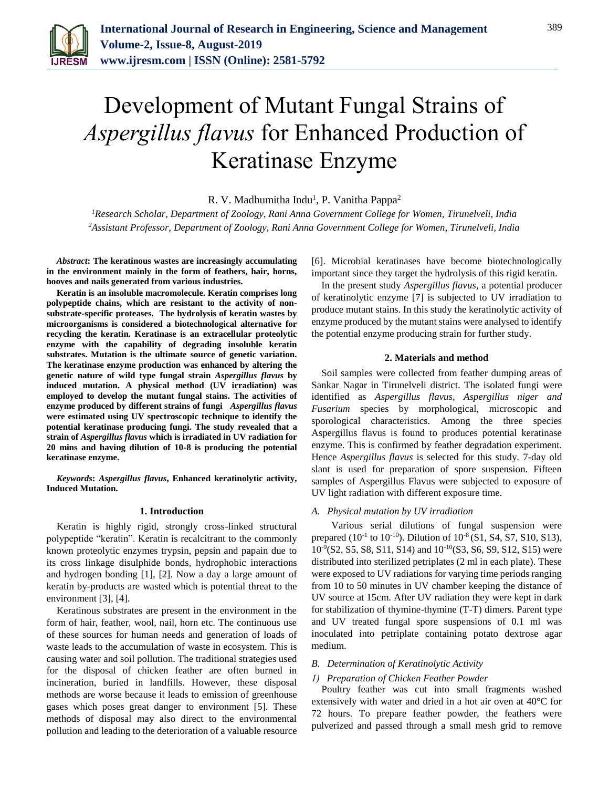

# Development of Mutant Fungal Strains of *Aspergillus flavus* for Enhanced Production of Keratinase Enzyme

R. V. Madhumitha Indu<sup>1</sup>, P. Vanitha Pappa<sup>2</sup>

*<sup>1</sup>Research Scholar, Department of Zoology, Rani Anna Government College for Women, Tirunelveli, India 2Assistant Professor, Department of Zoology, Rani Anna Government College for Women, Tirunelveli, India*

*Abstract***: The keratinous wastes are increasingly accumulating in the environment mainly in the form of feathers, hair, horns, hooves and nails generated from various industries.**

**Keratin is an insoluble macromolecule. Keratin comprises long polypeptide chains, which are resistant to the activity of nonsubstrate-specific proteases. The hydrolysis of keratin wastes by microorganisms is considered a biotechnological alternative for recycling the keratin. Keratinase is an extracellular proteolytic enzyme with the capability of degrading insoluble keratin substrates. Mutation is the ultimate source of genetic variation. The keratinase enzyme production was enhanced by altering the genetic nature of wild type fungal strain** *Aspergillus flavus* **by induced mutation. A physical method (UV irradiation) was employed to develop the mutant fungal stains. The activities of enzyme produced by different strains of fungi** *Aspergillus flavus* **were estimated using UV spectroscopic technique to identify the potential keratinase producing fungi. The study revealed that a strain of** *Aspergillus flavus* **which is irradiated in UV radiation for 20 mins and having dilution of 10-8 is producing the potential keratinase enzyme.**

*Keywords***:** *Aspergillus flavus***, Enhanced keratinolytic activity, Induced Mutation.**

#### **1. Introduction**

Keratin is highly rigid, strongly cross-linked structural polypeptide "keratin". Keratin is recalcitrant to the commonly known proteolytic enzymes trypsin, pepsin and papain due to its cross linkage disulphide bonds, hydrophobic interactions and hydrogen bonding [1], [2]. Now a day a large amount of keratin by-products are wasted which is potential threat to the environment [3], [4].

Keratinous substrates are present in the environment in the form of hair, feather, wool, nail, horn etc. The continuous use of these sources for human needs and generation of loads of waste leads to the accumulation of waste in ecosystem. This is causing water and soil pollution. The traditional strategies used for the disposal of chicken feather are often burned in incineration, buried in landfills. However, these disposal methods are worse because it leads to emission of greenhouse gases which poses great danger to environment [5]. These methods of disposal may also direct to the environmental pollution and leading to the deterioration of a valuable resource [6]. Microbial keratinases have become biotechnologically important since they target the hydrolysis of this rigid keratin.

In the present study *Aspergillus flavus*, a potential producer of keratinolytic enzyme [7] is subjected to UV irradiation to produce mutant stains. In this study the keratinolytic activity of enzyme produced by the mutant stains were analysed to identify the potential enzyme producing strain for further study.

### **2. Materials and method**

Soil samples were collected from feather dumping areas of Sankar Nagar in Tirunelveli district. The isolated fungi were identified as *Aspergillus flavus, Aspergillus niger and Fusarium* species by morphological, microscopic and sporological characteristics. Among the three species Aspergillus flavus is found to produces potential keratinase enzyme. This is confirmed by feather degradation experiment. Hence *Aspergillus flavus* is selected for this study. 7-day old slant is used for preparation of spore suspension. Fifteen samples of Aspergillus Flavus were subjected to exposure of UV light radiation with different exposure time.

### *A. Physical mutation by UV irradiation*

Various serial dilutions of fungal suspension were prepared ( $10^{-1}$  to  $10^{-10}$ ). Dilution of  $10^{-8}$  (S1, S4, S7, S10, S13), 10-9 (S2, S5, S8, S11, S14) and 10-10(S3, S6, S9, S12, S15) were distributed into sterilized petriplates (2 ml in each plate). These were exposed to UV radiations for varying time periods ranging from 10 to 50 minutes in UV chamber keeping the distance of UV source at 15cm. After UV radiation they were kept in dark for stabilization of thymine-thymine (T-T) dimers. Parent type and UV treated fungal spore suspensions of 0.1 ml was inoculated into petriplate containing potato dextrose agar medium.

#### *B. Determination of Keratinolytic Activity*

# *1) Preparation of Chicken Feather Powder*

Poultry feather was cut into small fragments washed extensively with water and dried in a hot air oven at 40°C for 72 hours. To prepare feather powder, the feathers were pulverized and passed through a small mesh grid to remove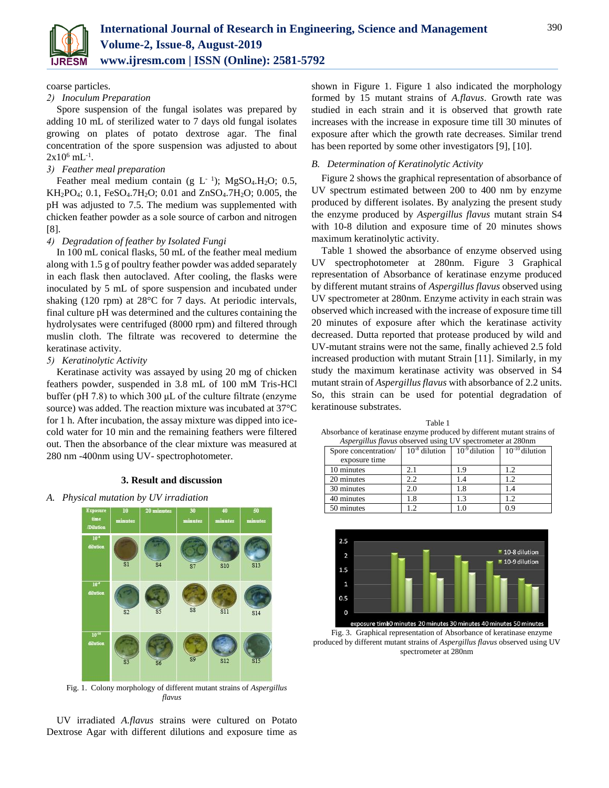

coarse particles.

# *2) Inoculum Preparation*

Spore suspension of the fungal isolates was prepared by adding 10 mL of sterilized water to 7 days old fungal isolates growing on plates of potato dextrose agar. The final concentration of the spore suspension was adjusted to about  $2x10^6$  mL<sup>-1</sup>.

# *3) Feather meal preparation*

Feather meal medium contain (g  $L^{-1}$ ); MgSO<sub>4</sub>.H<sub>2</sub>O; 0.5,  $KH_2PO_4$ ; 0.1, FeSO<sub>4</sub>.7H<sub>2</sub>O; 0.01 and ZnSO<sub>4</sub>.7H<sub>2</sub>O; 0.005, the pH was adjusted to 7.5. The medium was supplemented with chicken feather powder as a sole source of carbon and nitrogen [8].

# *4) Degradation of feather by Isolated Fungi*

In 100 mL conical flasks, 50 mL of the feather meal medium along with 1.5 g of poultry feather powder was added separately in each flask then autoclaved. After cooling, the flasks were inoculated by 5 mL of spore suspension and incubated under shaking (120 rpm) at 28°C for 7 days. At periodic intervals, final culture pH was determined and the cultures containing the hydrolysates were centrifuged (8000 rpm) and filtered through muslin cloth. The filtrate was recovered to determine the keratinase activity.

# *5) Keratinolytic Activity*

Keratinase activity was assayed by using 20 mg of chicken feathers powder, suspended in 3.8 mL of 100 mM Tris-HCl buffer (pH 7.8) to which 300  $\mu$ L of the culture filtrate (enzyme source) was added. The reaction mixture was incubated at 37°C for 1 h. After incubation, the assay mixture was dipped into icecold water for 10 min and the remaining feathers were filtered out. Then the absorbance of the clear mixture was measured at 280 nm -400nm using UV- spectrophotometer.

### **3. Result and discussion**

# *A. Physical mutation by UV irradiation*



Fig. 1. Colony morphology of different mutant strains of *Aspergillus flavus*

UV irradiated *A.flavus* strains were cultured on Potato Dextrose Agar with different dilutions and exposure time as shown in Figure 1. Figure 1 also indicated the morphology formed by 15 mutant strains of *A.flavus*. Growth rate was studied in each strain and it is observed that growth rate increases with the increase in exposure time till 30 minutes of exposure after which the growth rate decreases. Similar trend has been reported by some other investigators [9], [10].

## *B. Determination of Keratinolytic Activity*

Figure 2 shows the graphical representation of absorbance of UV spectrum estimated between 200 to 400 nm by enzyme produced by different isolates. By analyzing the present study the enzyme produced by *Aspergillus flavus* mutant strain S4 with 10-8 dilution and exposure time of 20 minutes shows maximum keratinolytic activity.

Table 1 showed the absorbance of enzyme observed using UV spectrophotometer at 280nm. Figure 3 Graphical representation of Absorbance of keratinase enzyme produced by different mutant strains of *Aspergillus flavus* observed using UV spectrometer at 280nm. Enzyme activity in each strain was observed which increased with the increase of exposure time till 20 minutes of exposure after which the keratinase activity decreased. Dutta reported that protease produced by wild and UV-mutant strains were not the same, finally achieved 2.5 fold increased production with mutant Strain [11]. Similarly, in my study the maximum keratinase activity was observed in S4 mutant strain of *Aspergillus flavus* with absorbance of 2.2 units. So, this strain can be used for potential degradation of keratinouse substrates.

Table 1 Absorbance of keratinase enzyme produced by different mutant strains of *Aspergillus flavus* observed using UV spectrometer at 280nm

| Spore concentration/<br>exposure time | $10^{-8}$ dilution | $10-9$ dilution | $10^{-10}$ dilution |
|---------------------------------------|--------------------|-----------------|---------------------|
| 10 minutes                            |                    | - 9             | 1.2.                |
| 20 minutes                            | າ າ                |                 | $\mathcal{D}$       |
| 30 minutes                            | 2.0                | l.8             | 1.4                 |
| 40 minutes                            | .8                 | $\mathcal{R}$   | $\gamma$            |
| 50 minutes                            | $\mathcal{D}$      | C               | 0.9                 |



Fig. 3. Graphical representation of Absorbance of keratinase enzyme produced by different mutant strains of *Aspergillus flavus* observed using UV spectrometer at 280nm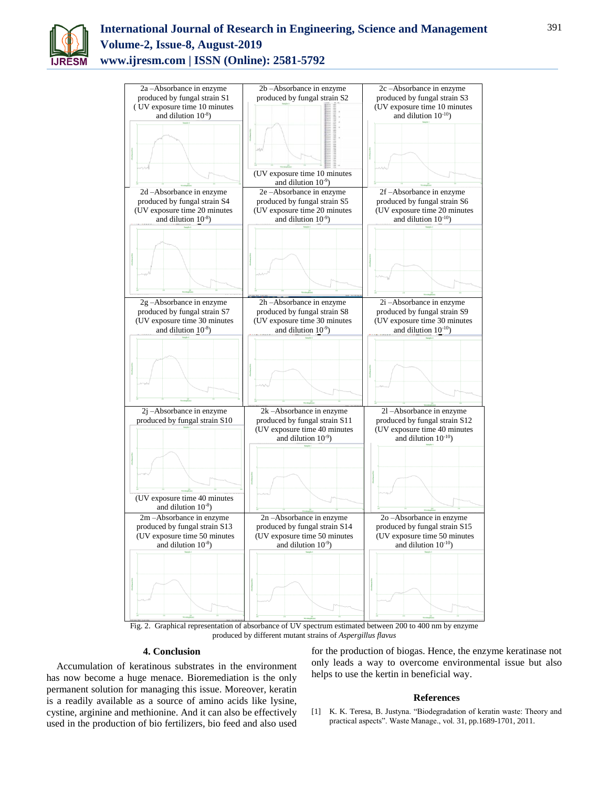

# **International Journal of Research in Engineering, Science and Management Volume-2, Issue-8, August-2019 www.ijresm.com | ISSN (Online): 2581-5792**



Fig. 2. Graphical representation of absorbance of UV spectrum estimated between 200 to 400 nm by enzyme produced by different mutant strains of *Aspergillus flavus*

#### **4. Conclusion**

Accumulation of keratinous substrates in the environment has now become a huge menace. Bioremediation is the only permanent solution for managing this issue. Moreover, keratin is a readily available as a source of amino acids like lysine, cystine, arginine and methionine. And it can also be effectively used in the production of bio fertilizers, bio feed and also used for the production of biogas. Hence, the enzyme keratinase not only leads a way to overcome environmental issue but also helps to use the kertin in beneficial way.

#### **References**

[1] K. K. Teresa, B. Justyna. "Biodegradation of keratin waste: Theory and practical aspects". Waste Manage., vol. 31, pp.1689-1701, 2011.